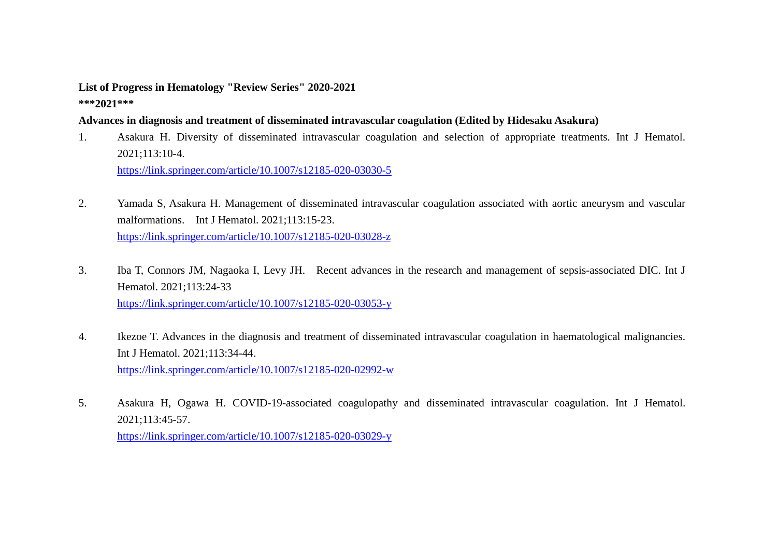# **List of Progress in Hematology "Review Series" 2020-2021 \*\*\*2021\*\*\***

## **Advances in diagnosis and treatment of disseminated intravascular coagulation (Edited by Hidesaku Asakura)**

- 1. Asakura H. Diversity of disseminated intravascular coagulation and selection of appropriate treatments. Int J Hematol. 2021;113:10-4. <https://link.springer.com/article/10.1007/s12185-020-03030-5>
- 2. Yamada S, Asakura H. Management of disseminated intravascular coagulation associated with aortic aneurysm and vascular malformations. Int J Hematol. 2021;113:15-23. <https://link.springer.com/article/10.1007/s12185-020-03028-z>
- 3. Iba T, Connors JM, Nagaoka I, Levy JH. Recent advances in the research and management of sepsis-associated DIC. Int J Hematol. 2021;113:24-33 <https://link.springer.com/article/10.1007/s12185-020-03053-y>
- 4. Ikezoe T. Advances in the diagnosis and treatment of disseminated intravascular coagulation in haematological malignancies. Int J Hematol. 2021;113:34-44. <https://link.springer.com/article/10.1007/s12185-020-02992-w>
- 5. Asakura H, Ogawa H. COVID-19-associated coagulopathy and disseminated intravascular coagulation. Int J Hematol. 2021;113:45-57. <https://link.springer.com/article/10.1007/s12185-020-03029-y>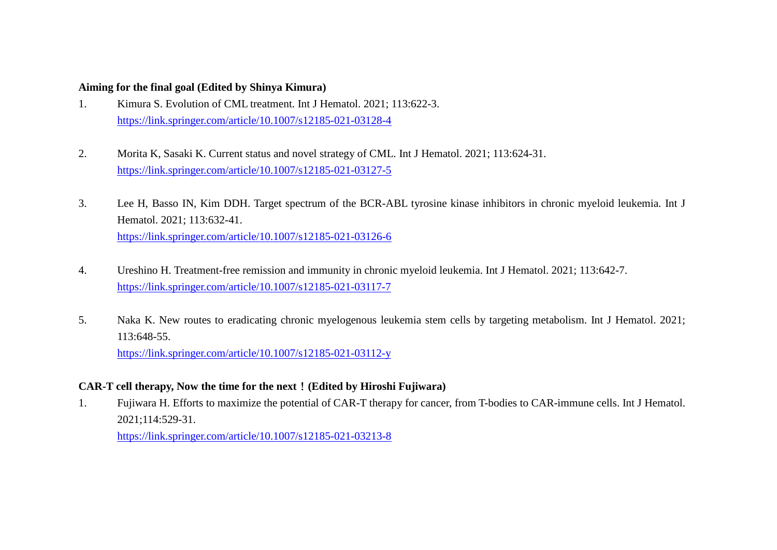### **Aiming for the final goal (Edited by Shinya Kimura)**

- 1. Kimura S. Evolution of CML treatment. Int J Hematol. 2021; 113:622-3. <https://link.springer.com/article/10.1007/s12185-021-03128-4>
- 2. Morita K, Sasaki K. Current status and novel strategy of CML. Int J Hematol. 2021; 113:624-31. <https://link.springer.com/article/10.1007/s12185-021-03127-5>
- 3. Lee H, Basso IN, Kim DDH. Target spectrum of the BCR-ABL tyrosine kinase inhibitors in chronic myeloid leukemia. Int J Hematol. 2021; 113:632-41. <https://link.springer.com/article/10.1007/s12185-021-03126-6>
- 4. Ureshino H. Treatment-free remission and immunity in chronic myeloid leukemia. Int J Hematol. 2021; 113:642-7. <https://link.springer.com/article/10.1007/s12185-021-03117-7>
- 5. Naka K. New routes to eradicating chronic myelogenous leukemia stem cells by targeting metabolism. Int J Hematol. 2021; 113:648-55. <https://link.springer.com/article/10.1007/s12185-021-03112-y>

# **CAR-T cell therapy, Now the time for the next**!**(Edited by Hiroshi Fujiwara)**

1. Fujiwara H. Efforts to maximize the potential of CAR-T therapy for cancer, from T-bodies to CAR-immune cells. Int J Hematol. 2021;114:529-31.

<https://link.springer.com/article/10.1007/s12185-021-03213-8>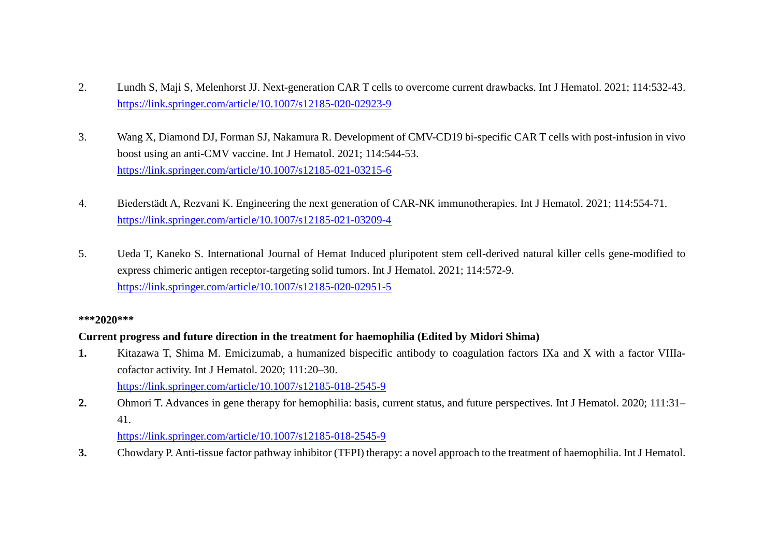- 2. Lundh S, Maji S, Melenhorst JJ. Next-generation CAR T cells to overcome current drawbacks. Int J Hematol. 2021; 114:532-43. <https://link.springer.com/article/10.1007/s12185-020-02923-9>
- 3. Wang X, Diamond DJ, Forman SJ, Nakamura R. Development of CMV-CD19 bi-specific CAR T cells with post-infusion in vivo boost using an anti-CMV vaccine. Int J Hematol. 2021; 114:544-53. <https://link.springer.com/article/10.1007/s12185-021-03215-6>
- 4. Biederstädt A, Rezvani K. Engineering the next generation of CAR-NK immunotherapies. Int J Hematol. 2021; 114:554-71. <https://link.springer.com/article/10.1007/s12185-021-03209-4>
- 5. Ueda T, Kaneko S. International Journal of Hemat Induced pluripotent stem cell-derived natural killer cells gene-modified to express chimeric antigen receptor-targeting solid tumors. Int J Hematol. 2021; 114:572-9. <https://link.springer.com/article/10.1007/s12185-020-02951-5>

#### **\*\*\*2020\*\*\***

## **Current progress and future direction in the treatment for haemophilia (Edited by Midori Shima)**

- **1.** Kitazawa T, Shima M. Emicizumab, a humanized bispecific antibody to coagulation factors IXa and X with a factor VIIIacofactor activity. Int J Hematol. 2020; 111:20–30. <https://link.springer.com/article/10.1007/s12185-018-2545-9>
- **2.** Ohmori T. Advances in gene therapy for hemophilia: basis, current status, and future perspectives. Int J Hematol. 2020; 111:31– 41.

<https://link.springer.com/article/10.1007/s12185-018-2545-9>

**3.** Chowdary P. Anti-tissue factor pathway inhibitor (TFPI) therapy: a novel approach to the treatment of haemophilia. Int J Hematol.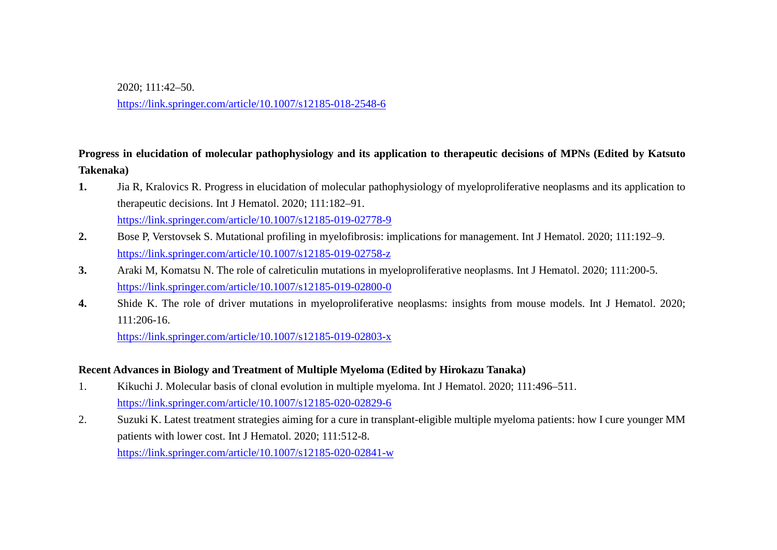2020; 111:42–50.

<https://link.springer.com/article/10.1007/s12185-018-2548-6>

# **Progress in elucidation of molecular pathophysiology and its application to therapeutic decisions of MPNs (Edited by Katsuto Takenaka)**

- **1.** Jia R, Kralovics R. Progress in elucidation of molecular pathophysiology of myeloproliferative neoplasms and its application to therapeutic decisions. Int J Hematol. 2020; 111:182–91. <https://link.springer.com/article/10.1007/s12185-019-02778-9>
- **2.** Bose P, Verstovsek S. Mutational profiling in myelofibrosis: implications for management. Int J Hematol. 2020; 111:192–9. <https://link.springer.com/article/10.1007/s12185-019-02758-z>
- **3.** Araki M, Komatsu N. The role of calreticulin mutations in myeloproliferative neoplasms. Int J Hematol. 2020; 111:200-5. <https://link.springer.com/article/10.1007/s12185-019-02800-0>
- **4.** Shide K. The role of driver mutations in myeloproliferative neoplasms: insights from mouse models. Int J Hematol. 2020; 111:206-16.

<https://link.springer.com/article/10.1007/s12185-019-02803-x>

# **Recent Advances in Biology and Treatment of Multiple Myeloma (Edited by Hirokazu Tanaka)**

- 1. Kikuchi J. Molecular basis of clonal evolution in multiple myeloma. Int J Hematol. 2020; 111:496–511. <https://link.springer.com/article/10.1007/s12185-020-02829-6>
- 2. Suzuki K. Latest treatment strategies aiming for a cure in transplant-eligible multiple myeloma patients: how I cure younger MM patients with lower cost. Int J Hematol. 2020; 111:512-8. <https://link.springer.com/article/10.1007/s12185-020-02841-w>